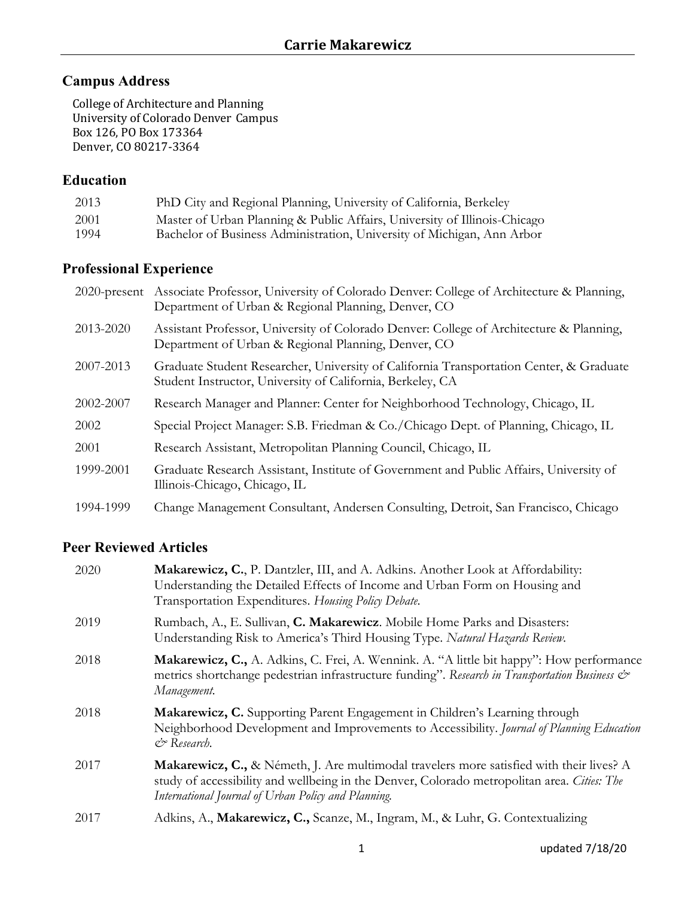## **Campus Address**

College of Architecture and Planning University of Colorado Denver Campus Box 126, PO Box 173364 Denver, CO 80217-3364

## **Education**

| 2013 | PhD City and Regional Planning, University of California, Berkeley        |
|------|---------------------------------------------------------------------------|
| 2001 | Master of Urban Planning & Public Affairs, University of Illinois-Chicago |
| 1994 | Bachelor of Business Administration, University of Michigan, Ann Arbor    |

## **Professional Experience**

|           | 2020-present Associate Professor, University of Colorado Denver: College of Architecture & Planning,<br>Department of Urban & Regional Planning, Denver, CO |
|-----------|-------------------------------------------------------------------------------------------------------------------------------------------------------------|
| 2013-2020 | Assistant Professor, University of Colorado Denver: College of Architecture & Planning,<br>Department of Urban & Regional Planning, Denver, CO              |
| 2007-2013 | Graduate Student Researcher, University of California Transportation Center, & Graduate<br>Student Instructor, University of California, Berkeley, CA       |
| 2002-2007 | Research Manager and Planner: Center for Neighborhood Technology, Chicago, IL                                                                               |
| 2002      | Special Project Manager: S.B. Friedman & Co./Chicago Dept. of Planning, Chicago, IL                                                                         |
| 2001      | Research Assistant, Metropolitan Planning Council, Chicago, IL                                                                                              |
| 1999-2001 | Graduate Research Assistant, Institute of Government and Public Affairs, University of<br>Illinois-Chicago, Chicago, IL                                     |
| 1994-1999 | Change Management Consultant, Andersen Consulting, Detroit, San Francisco, Chicago                                                                          |

## **Peer Reviewed Articles**

| 2020 | Makarewicz, C., P. Dantzler, III, and A. Adkins. Another Look at Affordability:<br>Understanding the Detailed Effects of Income and Urban Form on Housing and<br>Transportation Expenditures. Housing Policy Debate.                           |
|------|------------------------------------------------------------------------------------------------------------------------------------------------------------------------------------------------------------------------------------------------|
| 2019 | Rumbach, A., E. Sullivan, C. Makarewicz. Mobile Home Parks and Disasters:<br>Understanding Risk to America's Third Housing Type. Natural Hazards Review.                                                                                       |
| 2018 | <b>Makarewicz, C.,</b> A. Adkins, C. Frei, A. Wennink. A. "A little bit happy": How performance<br>metrics shortchange pedestrian infrastructure funding". Research in Transportation Business &<br>Management.                                |
| 2018 | Makarewicz, C. Supporting Parent Engagement in Children's Learning through<br>Neighborhood Development and Improvements to Accessibility. Journal of Planning Education<br>& Research.                                                         |
| 2017 | Makarewicz, C., & Németh, J. Are multimodal travelers more satisfied with their lives? A<br>study of accessibility and wellbeing in the Denver, Colorado metropolitan area. Cities: The<br>International Journal of Urban Policy and Planning. |
| 2017 | Adkins, A., Makarewicz, C., Scanze, M., Ingram, M., & Luhr, G. Contextualizing                                                                                                                                                                 |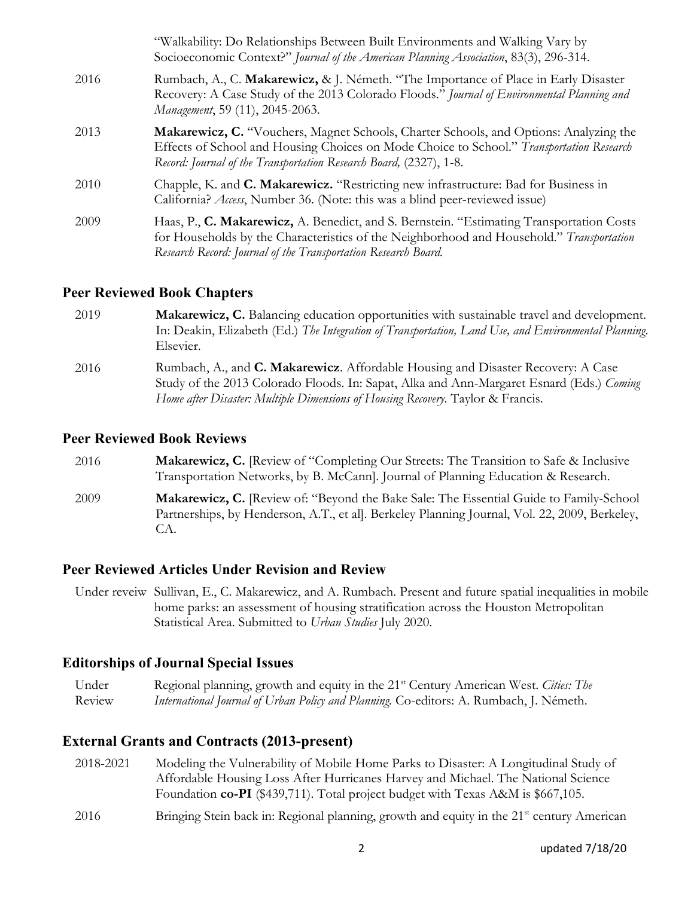|      | "Walkability: Do Relationships Between Built Environments and Walking Vary by<br>Socioeconomic Context?" Journal of the American Planning Association, 83(3), 296-314.                                                                                         |
|------|----------------------------------------------------------------------------------------------------------------------------------------------------------------------------------------------------------------------------------------------------------------|
| 2016 | Rumbach, A., C. Makarewicz, & J. Németh. "The Importance of Place in Early Disaster<br>Recovery: A Case Study of the 2013 Colorado Floods." Journal of Environmental Planning and<br>Management, 59 (11), 2045-2063.                                           |
| 2013 | <b>Makarewicz, C.</b> "Vouchers, Magnet Schools, Charter Schools, and Options: Analyzing the<br>Effects of School and Housing Choices on Mode Choice to School." Transportation Research<br>Record: Journal of the Transportation Research Board, (2327), 1-8. |
| 2010 | Chapple, K. and C. Makarewicz. "Restricting new infrastructure: Bad for Business in<br>California? Access, Number 36. (Note: this was a blind peer-reviewed issue)                                                                                             |
| 2009 | Haas, P., C. Makarewicz, A. Benedict, and S. Bernstein. "Estimating Transportation Costs<br>for Households by the Characteristics of the Neighborhood and Household." Transportation<br>Research Record: Journal of the Transportation Research Board.         |

#### **Peer Reviewed Book Chapters**

- 2019 **Makarewicz, C.** Balancing education opportunities with sustainable travel and development. In: Deakin, Elizabeth (Ed.) *The Integration of Transportation, Land Use, and Environmental Planning*. Elsevier.
- 2016 Rumbach, A., and **C. Makarewicz**. Affordable Housing and Disaster Recovery: A Case Study of the 2013 Colorado Floods. In: Sapat, Alka and Ann-Margaret Esnard (Eds.) *Coming Home after Disaster: Multiple Dimensions of Housing Recovery*. Taylor & Francis.

#### **Peer Reviewed Book Reviews**

CA.

2016 **Makarewicz, C.** [Review of "Completing Our Streets: The Transition to Safe & Inclusive Transportation Networks, by B. McCann]. Journal of Planning Education & Research. 2009 **Makarewicz, C.** [Review of: "Beyond the Bake Sale: The Essential Guide to Family-School Partnerships, by Henderson, A.T., et al]. Berkeley Planning Journal, Vol. 22, 2009, Berkeley,

### **Peer Reviewed Articles Under Revision and Review**

Under reveiw Sullivan, E., C. Makarewicz, and A. Rumbach. Present and future spatial inequalities in mobile home parks: an assessment of housing stratification across the Houston Metropolitan Statistical Area. Submitted to *Urban Studies* July 2020.

### **Editorships of Journal Special Issues**

Under Review Regional planning, growth and equity in the 21st Century American West. *Cities: The International Journal of Urban Policy and Planning.* Co-editors: A. Rumbach, J. Németh.

### **External Grants and Contracts (2013-present)**

- 2018-2021 Modeling the Vulnerability of Mobile Home Parks to Disaster: A Longitudinal Study of Affordable Housing Loss After Hurricanes Harvey and Michael. The National Science Foundation **co-PI** (\$439,711). Total project budget with Texas A&M is \$667,105.
- 2016 Bringing Stein back in: Regional planning, growth and equity in the 21<sup>st</sup> century American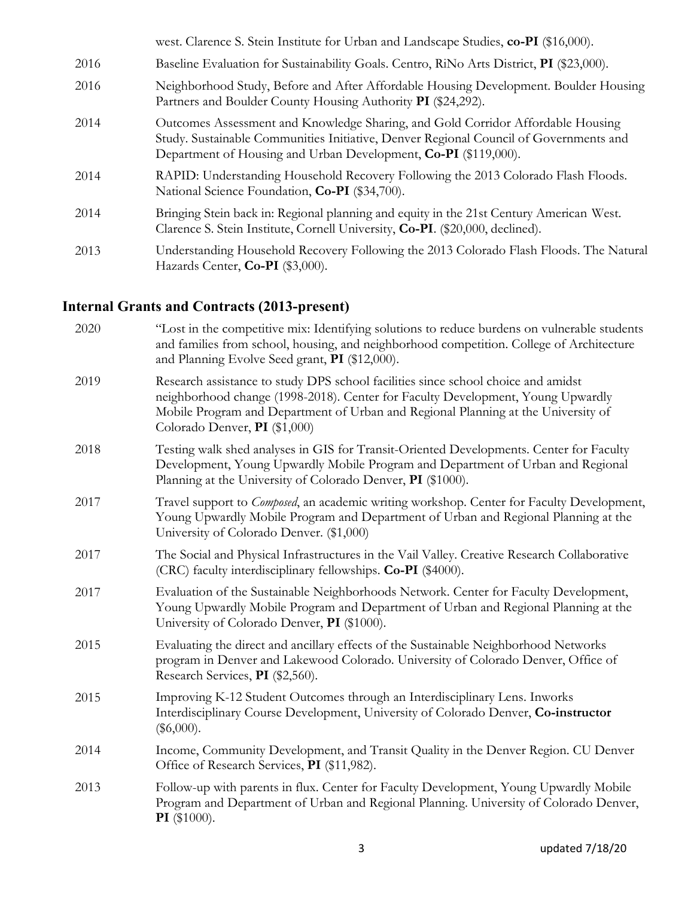|      | west. Clarence S. Stein Institute for Urban and Landscape Studies, co-PI (\$16,000).                                                                                                                                                        |
|------|---------------------------------------------------------------------------------------------------------------------------------------------------------------------------------------------------------------------------------------------|
| 2016 | Baseline Evaluation for Sustainability Goals. Centro, RiNo Arts District, PI (\$23,000).                                                                                                                                                    |
| 2016 | Neighborhood Study, Before and After Affordable Housing Development. Boulder Housing<br>Partners and Boulder County Housing Authority PI (\$24,292).                                                                                        |
| 2014 | Outcomes Assessment and Knowledge Sharing, and Gold Corridor Affordable Housing<br>Study. Sustainable Communities Initiative, Denver Regional Council of Governments and<br>Department of Housing and Urban Development, Co-PI (\$119,000). |
| 2014 | RAPID: Understanding Household Recovery Following the 2013 Colorado Flash Floods.<br>National Science Foundation, Co-PI (\$34,700).                                                                                                         |
| 2014 | Bringing Stein back in: Regional planning and equity in the 21st Century American West.<br>Clarence S. Stein Institute, Cornell University, Co-PI. (\$20,000, declined).                                                                    |
| 2013 | Understanding Household Recovery Following the 2013 Colorado Flash Floods. The Natural<br>Hazards Center, Co-PI (\$3,000).                                                                                                                  |
|      |                                                                                                                                                                                                                                             |

# **Internal Grants and Contracts (2013-present)**

| 2020 | "Lost in the competitive mix: Identifying solutions to reduce burdens on vulnerable students<br>and families from school, housing, and neighborhood competition. College of Architecture<br>and Planning Evolve Seed grant, PI (\$12,000).                                                 |
|------|--------------------------------------------------------------------------------------------------------------------------------------------------------------------------------------------------------------------------------------------------------------------------------------------|
| 2019 | Research assistance to study DPS school facilities since school choice and amidst<br>neighborhood change (1998-2018). Center for Faculty Development, Young Upwardly<br>Mobile Program and Department of Urban and Regional Planning at the University of<br>Colorado Denver, PI (\$1,000) |
| 2018 | Testing walk shed analyses in GIS for Transit-Oriented Developments. Center for Faculty<br>Development, Young Upwardly Mobile Program and Department of Urban and Regional<br>Planning at the University of Colorado Denver, PI (\$1000).                                                  |
| 2017 | Travel support to <i>Composed</i> , an academic writing workshop. Center for Faculty Development,<br>Young Upwardly Mobile Program and Department of Urban and Regional Planning at the<br>University of Colorado Denver. (\$1,000)                                                        |
| 2017 | The Social and Physical Infrastructures in the Vail Valley. Creative Research Collaborative<br>(CRC) faculty interdisciplinary fellowships. Co-PI (\$4000).                                                                                                                                |
| 2017 | Evaluation of the Sustainable Neighborhoods Network. Center for Faculty Development,<br>Young Upwardly Mobile Program and Department of Urban and Regional Planning at the<br>University of Colorado Denver, PI (\$1000).                                                                  |
| 2015 | Evaluating the direct and ancillary effects of the Sustainable Neighborhood Networks<br>program in Denver and Lakewood Colorado. University of Colorado Denver, Office of<br>Research Services, PI (\$2,560).                                                                              |
| 2015 | Improving K-12 Student Outcomes through an Interdisciplinary Lens. Inworks<br>Interdisciplinary Course Development, University of Colorado Denver, Co-instructor<br>$(\$6,000).$                                                                                                           |
| 2014 | Income, Community Development, and Transit Quality in the Denver Region. CU Denver<br>Office of Research Services, PI (\$11,982).                                                                                                                                                          |
| 2013 | Follow-up with parents in flux. Center for Faculty Development, Young Upwardly Mobile<br>Program and Department of Urban and Regional Planning. University of Colorado Denver,<br>$PI$ (\$1000).                                                                                           |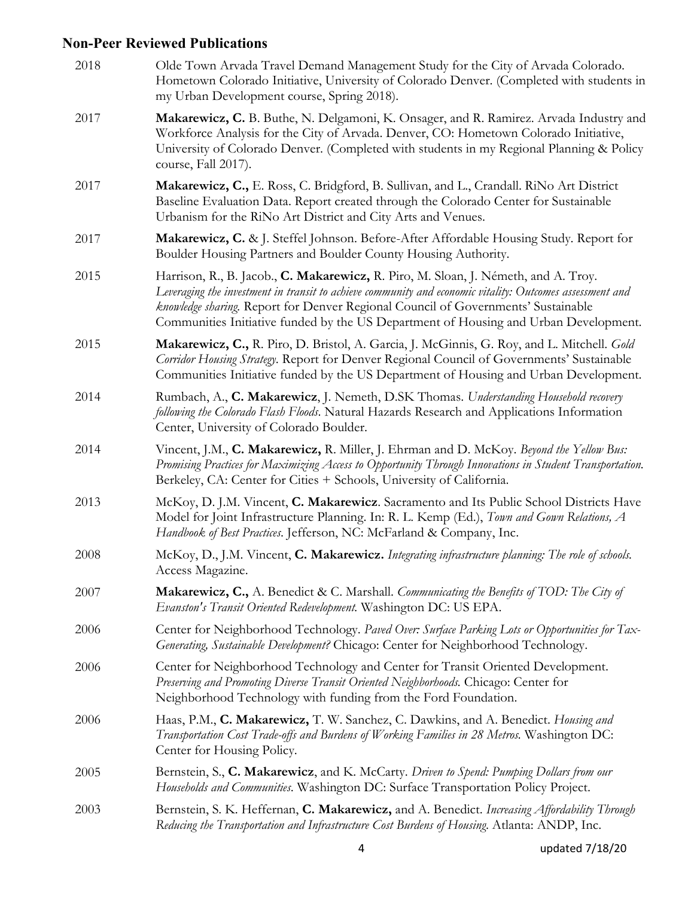# **Non-Peer Reviewed Publications**

| 2018 | Olde Town Arvada Travel Demand Management Study for the City of Arvada Colorado.<br>Hometown Colorado Initiative, University of Colorado Denver. (Completed with students in<br>my Urban Development course, Spring 2018).                                                                                                                                                  |
|------|-----------------------------------------------------------------------------------------------------------------------------------------------------------------------------------------------------------------------------------------------------------------------------------------------------------------------------------------------------------------------------|
| 2017 | Makarewicz, C. B. Buthe, N. Delgamoni, K. Onsager, and R. Ramirez. Arvada Industry and<br>Workforce Analysis for the City of Arvada. Denver, CO: Hometown Colorado Initiative,<br>University of Colorado Denver. (Completed with students in my Regional Planning & Policy<br>course, Fall 2017).                                                                           |
| 2017 | Makarewicz, C., E. Ross, C. Bridgford, B. Sullivan, and L., Crandall. RiNo Art District<br>Baseline Evaluation Data. Report created through the Colorado Center for Sustainable<br>Urbanism for the RiNo Art District and City Arts and Venues.                                                                                                                             |
| 2017 | Makarewicz, C. & J. Steffel Johnson. Before-After Affordable Housing Study. Report for<br>Boulder Housing Partners and Boulder County Housing Authority.                                                                                                                                                                                                                    |
| 2015 | Harrison, R., B. Jacob., C. Makarewicz, R. Piro, M. Sloan, J. Németh, and A. Troy.<br>Leveraging the investment in transit to achieve community and economic vitality: Outcomes assessment and<br>knowledge sharing. Report for Denver Regional Council of Governments' Sustainable<br>Communities Initiative funded by the US Department of Housing and Urban Development. |
| 2015 | Makarewicz, C., R. Piro, D. Bristol, A. Garcia, J. McGinnis, G. Roy, and L. Mitchell. Gold<br>Corridor Housing Strategy. Report for Denver Regional Council of Governments' Sustainable<br>Communities Initiative funded by the US Department of Housing and Urban Development.                                                                                             |
| 2014 | Rumbach, A., C. Makarewicz, J. Nemeth, D.SK Thomas. Understanding Household recovery<br>following the Colorado Flash Floods. Natural Hazards Research and Applications Information<br>Center, University of Colorado Boulder.                                                                                                                                               |
| 2014 | Vincent, J.M., C. Makarewicz, R. Miller, J. Ehrman and D. McKoy. Beyond the Yellow Bus:<br>Promising Practices for Maximizing Access to Opportunity Through Innovations in Student Transportation.<br>Berkeley, CA: Center for Cities + Schools, University of California.                                                                                                  |
| 2013 | McKoy, D. J.M. Vincent, C. Makarewicz. Sacramento and Its Public School Districts Have<br>Model for Joint Infrastructure Planning. In: R. L. Kemp (Ed.), Town and Gown Relations, A<br>Handbook of Best Practices. Jefferson, NC: McFarland & Company, Inc.                                                                                                                 |
| 2008 | McKoy, D., J.M. Vincent, C. Makarewicz. Integrating infrastructure planning: The role of schools.<br>Access Magazine.                                                                                                                                                                                                                                                       |
| 2007 | <b>Makarewicz, C.,</b> A. Benedict & C. Marshall. Communicating the Benefits of TOD: The City of<br>Evanston's Transit Oriented Redevelopment. Washington DC: US EPA.                                                                                                                                                                                                       |
| 2006 | Center for Neighborhood Technology. Paved Over: Surface Parking Lots or Opportunities for Tax-<br>Generating, Sustainable Development? Chicago: Center for Neighborhood Technology.                                                                                                                                                                                         |
| 2006 | Center for Neighborhood Technology and Center for Transit Oriented Development.<br>Preserving and Promoting Diverse Transit Oriented Neighborhoods. Chicago: Center for<br>Neighborhood Technology with funding from the Ford Foundation.                                                                                                                                   |
| 2006 | Haas, P.M., C. Makarewicz, T. W. Sanchez, C. Dawkins, and A. Benedict. Housing and<br>Transportation Cost Trade-offs and Burdens of Working Families in 28 Metros. Washington DC:<br>Center for Housing Policy.                                                                                                                                                             |
| 2005 | Bernstein, S., C. Makarewicz, and K. McCarty. Driven to Spend: Pumping Dollars from our<br>Households and Communities. Washington DC: Surface Transportation Policy Project.                                                                                                                                                                                                |
| 2003 | Bernstein, S. K. Heffernan, C. Makarewicz, and A. Benedict. Increasing Affordability Through<br>Reducing the Transportation and Infrastructure Cost Burdens of Housing. Atlanta: ANDP, Inc.                                                                                                                                                                                 |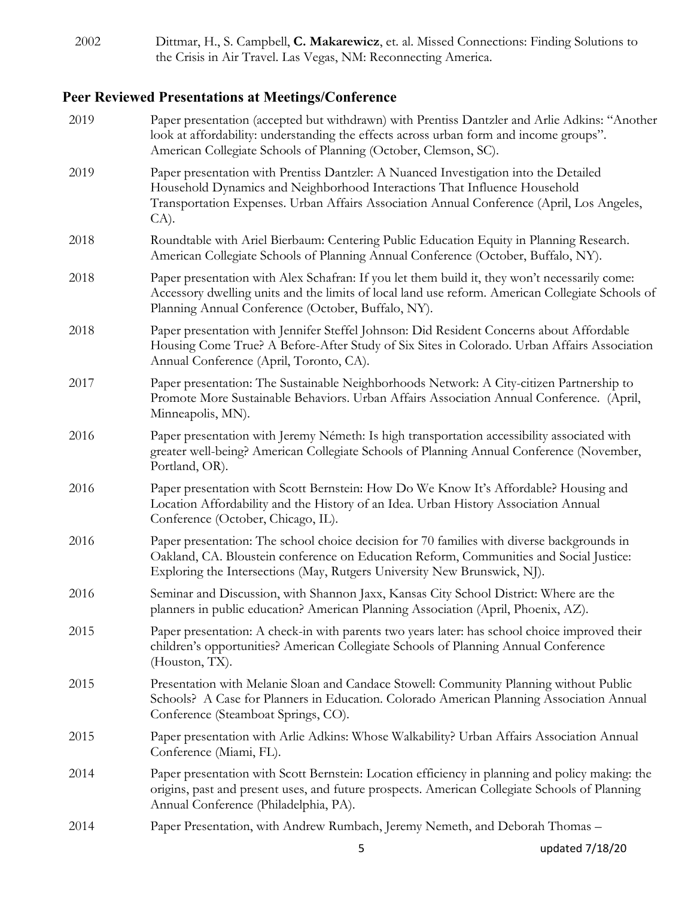| 2002 | Dittmar, H., S. Campbell, C. Makarewicz, et. al. Missed Connections: Finding Solutions to |
|------|-------------------------------------------------------------------------------------------|
|      | the Crisis in Air Travel. Las Vegas, NM: Reconnecting America.                            |

# **Peer Reviewed Presentations at Meetings/Conference**

| 2019 | Paper presentation (accepted but withdrawn) with Prentiss Dantzler and Arlie Adkins: "Another<br>look at affordability: understanding the effects across urban form and income groups".<br>American Collegiate Schools of Planning (October, Clemson, SC).                |
|------|---------------------------------------------------------------------------------------------------------------------------------------------------------------------------------------------------------------------------------------------------------------------------|
| 2019 | Paper presentation with Prentiss Dantzler: A Nuanced Investigation into the Detailed<br>Household Dynamics and Neighborhood Interactions That Influence Household<br>Transportation Expenses. Urban Affairs Association Annual Conference (April, Los Angeles,<br>$CA$ ). |
| 2018 | Roundtable with Ariel Bierbaum: Centering Public Education Equity in Planning Research.<br>American Collegiate Schools of Planning Annual Conference (October, Buffalo, NY).                                                                                              |
| 2018 | Paper presentation with Alex Schafran: If you let them build it, they won't necessarily come:<br>Accessory dwelling units and the limits of local land use reform. American Collegiate Schools of<br>Planning Annual Conference (October, Buffalo, NY).                   |
| 2018 | Paper presentation with Jennifer Steffel Johnson: Did Resident Concerns about Affordable<br>Housing Come True? A Before-After Study of Six Sites in Colorado. Urban Affairs Association<br>Annual Conference (April, Toronto, CA).                                        |
| 2017 | Paper presentation: The Sustainable Neighborhoods Network: A City-citizen Partnership to<br>Promote More Sustainable Behaviors. Urban Affairs Association Annual Conference. (April,<br>Minneapolis, MN).                                                                 |
| 2016 | Paper presentation with Jeremy Németh: Is high transportation accessibility associated with<br>greater well-being? American Collegiate Schools of Planning Annual Conference (November,<br>Portland, OR).                                                                 |
| 2016 | Paper presentation with Scott Bernstein: How Do We Know It's Affordable? Housing and<br>Location Affordability and the History of an Idea. Urban History Association Annual<br>Conference (October, Chicago, IL).                                                         |
| 2016 | Paper presentation: The school choice decision for 70 families with diverse backgrounds in<br>Oakland, CA. Bloustein conference on Education Reform, Communities and Social Justice:<br>Exploring the Intersections (May, Rutgers University New Brunswick, NJ).          |
| 2016 | Seminar and Discussion, with Shannon Jaxx, Kansas City School District: Where are the<br>planners in public education? American Planning Association (April, Phoenix, AZ).                                                                                                |
| 2015 | Paper presentation: A check-in with parents two years later: has school choice improved their<br>children's opportunities? American Collegiate Schools of Planning Annual Conference<br>(Houston, TX).                                                                    |
| 2015 | Presentation with Melanie Sloan and Candace Stowell: Community Planning without Public<br>Schools? A Case for Planners in Education. Colorado American Planning Association Annual<br>Conference (Steamboat Springs, CO).                                                 |
| 2015 | Paper presentation with Arlie Adkins: Whose Walkability? Urban Affairs Association Annual<br>Conference (Miami, FL).                                                                                                                                                      |
| 2014 | Paper presentation with Scott Bernstein: Location efficiency in planning and policy making: the<br>origins, past and present uses, and future prospects. American Collegiate Schools of Planning<br>Annual Conference (Philadelphia, PA).                                 |
| 2014 | Paper Presentation, with Andrew Rumbach, Jeremy Nemeth, and Deborah Thomas -                                                                                                                                                                                              |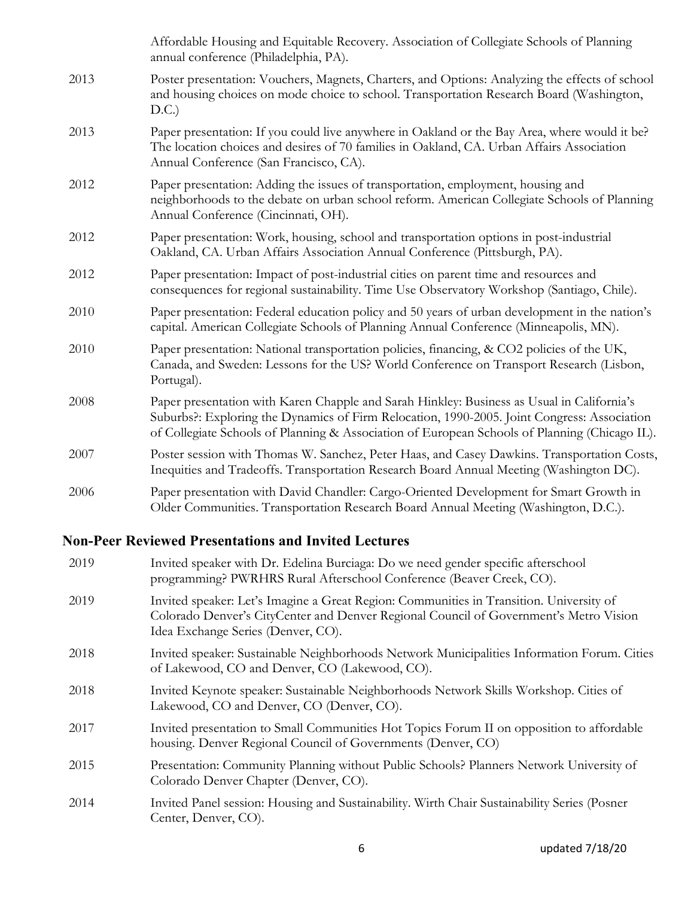|      | Affordable Housing and Equitable Recovery. Association of Collegiate Schools of Planning<br>annual conference (Philadelphia, PA).                                                                                                                                                          |
|------|--------------------------------------------------------------------------------------------------------------------------------------------------------------------------------------------------------------------------------------------------------------------------------------------|
| 2013 | Poster presentation: Vouchers, Magnets, Charters, and Options: Analyzing the effects of school<br>and housing choices on mode choice to school. Transportation Research Board (Washington,<br>D.C.)                                                                                        |
| 2013 | Paper presentation: If you could live anywhere in Oakland or the Bay Area, where would it be?<br>The location choices and desires of 70 families in Oakland, CA. Urban Affairs Association<br>Annual Conference (San Francisco, CA).                                                       |
| 2012 | Paper presentation: Adding the issues of transportation, employment, housing and<br>neighborhoods to the debate on urban school reform. American Collegiate Schools of Planning<br>Annual Conference (Cincinnati, OH).                                                                     |
| 2012 | Paper presentation: Work, housing, school and transportation options in post-industrial<br>Oakland, CA. Urban Affairs Association Annual Conference (Pittsburgh, PA).                                                                                                                      |
| 2012 | Paper presentation: Impact of post-industrial cities on parent time and resources and<br>consequences for regional sustainability. Time Use Observatory Workshop (Santiago, Chile).                                                                                                        |
| 2010 | Paper presentation: Federal education policy and 50 years of urban development in the nation's<br>capital. American Collegiate Schools of Planning Annual Conference (Minneapolis, MN).                                                                                                    |
| 2010 | Paper presentation: National transportation policies, financing, & CO2 policies of the UK,<br>Canada, and Sweden: Lessons for the US? World Conference on Transport Research (Lisbon,<br>Portugal).                                                                                        |
| 2008 | Paper presentation with Karen Chapple and Sarah Hinkley: Business as Usual in California's<br>Suburbs?: Exploring the Dynamics of Firm Relocation, 1990-2005. Joint Congress: Association<br>of Collegiate Schools of Planning & Association of European Schools of Planning (Chicago IL). |
| 2007 | Poster session with Thomas W. Sanchez, Peter Haas, and Casey Dawkins. Transportation Costs,<br>Inequities and Tradeoffs. Transportation Research Board Annual Meeting (Washington DC).                                                                                                     |
| 2006 | Paper presentation with David Chandler: Cargo-Oriented Development for Smart Growth in<br>Older Communities. Transportation Research Board Annual Meeting (Washington, D.C.).                                                                                                              |

# **Non-Peer Reviewed Presentations and Invited Lectures**

| 2019 | Invited speaker with Dr. Edelina Burciaga: Do we need gender specific afterschool<br>programming? PWRHRS Rural Afterschool Conference (Beaver Creek, CO).                                                              |
|------|------------------------------------------------------------------------------------------------------------------------------------------------------------------------------------------------------------------------|
| 2019 | Invited speaker: Let's Imagine a Great Region: Communities in Transition. University of<br>Colorado Denver's CityCenter and Denver Regional Council of Government's Metro Vision<br>Idea Exchange Series (Denver, CO). |
| 2018 | Invited speaker: Sustainable Neighborhoods Network Municipalities Information Forum. Cities<br>of Lakewood, CO and Denver, CO (Lakewood, CO).                                                                          |
| 2018 | Invited Keynote speaker: Sustainable Neighborhoods Network Skills Workshop. Cities of<br>Lakewood, CO and Denver, CO (Denver, CO).                                                                                     |
| 2017 | Invited presentation to Small Communities Hot Topics Forum II on opposition to affordable<br>housing. Denver Regional Council of Governments (Denver, CO)                                                              |
| 2015 | Presentation: Community Planning without Public Schools? Planners Network University of<br>Colorado Denver Chapter (Denver, CO).                                                                                       |
| 2014 | Invited Panel session: Housing and Sustainability. Wirth Chair Sustainability Series (Posner<br>Center, Denver, CO).                                                                                                   |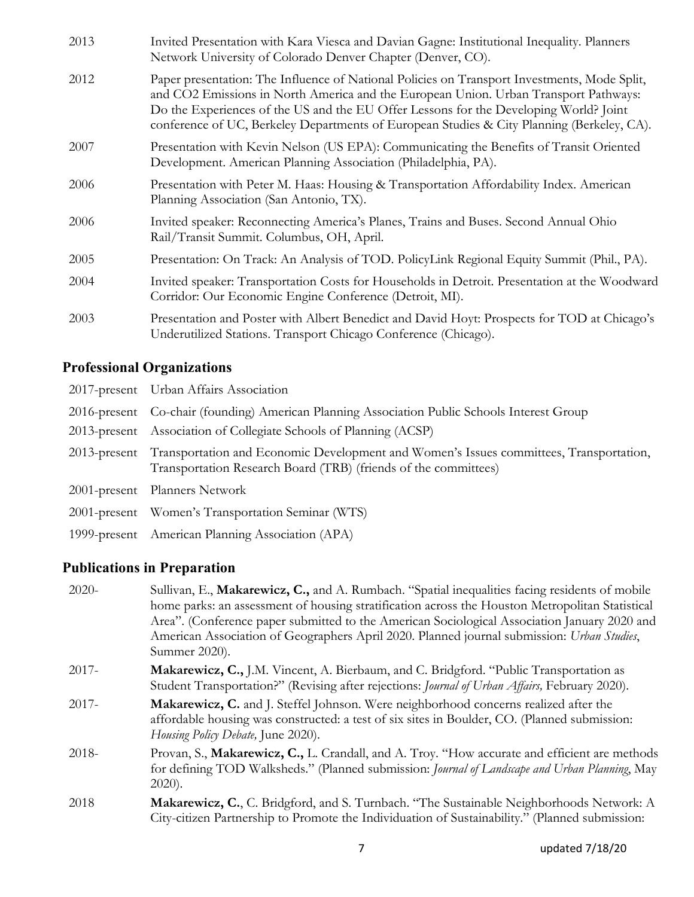| 2013 | Invited Presentation with Kara Viesca and Davian Gagne: Institutional Inequality. Planners<br>Network University of Colorado Denver Chapter (Denver, CO).                                                                                                                                                                                                                   |
|------|-----------------------------------------------------------------------------------------------------------------------------------------------------------------------------------------------------------------------------------------------------------------------------------------------------------------------------------------------------------------------------|
| 2012 | Paper presentation: The Influence of National Policies on Transport Investments, Mode Split,<br>and CO2 Emissions in North America and the European Union. Urban Transport Pathways:<br>Do the Experiences of the US and the EU Offer Lessons for the Developing World? Joint<br>conference of UC, Berkeley Departments of European Studies & City Planning (Berkeley, CA). |
| 2007 | Presentation with Kevin Nelson (US EPA): Communicating the Benefits of Transit Oriented<br>Development. American Planning Association (Philadelphia, PA).                                                                                                                                                                                                                   |
| 2006 | Presentation with Peter M. Haas: Housing & Transportation Affordability Index. American<br>Planning Association (San Antonio, TX).                                                                                                                                                                                                                                          |
| 2006 | Invited speaker: Reconnecting America's Planes, Trains and Buses. Second Annual Ohio<br>Rail/Transit Summit. Columbus, OH, April.                                                                                                                                                                                                                                           |
| 2005 | Presentation: On Track: An Analysis of TOD. PolicyLink Regional Equity Summit (Phil., PA).                                                                                                                                                                                                                                                                                  |
| 2004 | Invited speaker: Transportation Costs for Households in Detroit. Presentation at the Woodward<br>Corridor: Our Economic Engine Conference (Detroit, MI).                                                                                                                                                                                                                    |
| 2003 | Presentation and Poster with Albert Benedict and David Hoyt: Prospects for TOD at Chicago's<br>Underutilized Stations. Transport Chicago Conference (Chicago).                                                                                                                                                                                                              |

# **Professional Organizations**

| 2017-present Urban Affairs Association                                                                                                                                 |
|------------------------------------------------------------------------------------------------------------------------------------------------------------------------|
| 2016-present Co-chair (founding) American Planning Association Public Schools Interest Group                                                                           |
| 2013-present Association of Collegiate Schools of Planning (ACSP)                                                                                                      |
| 2013-present Transportation and Economic Development and Women's Issues committees, Transportation,<br>Transportation Research Board (TRB) (friends of the committees) |
| 2001-present Planners Network                                                                                                                                          |
| 2001-present Women's Transportation Seminar (WTS)                                                                                                                      |
| 1999-present American Planning Association (APA)                                                                                                                       |
|                                                                                                                                                                        |

# **Publications in Preparation**

| $2020 -$ | Sullivan, E., Makarewicz, C., and A. Rumbach. "Spatial inequalities facing residents of mobile                                                                                                          |
|----------|---------------------------------------------------------------------------------------------------------------------------------------------------------------------------------------------------------|
|          | home parks: an assessment of housing stratification across the Houston Metropolitan Statistical                                                                                                         |
|          | Area". (Conference paper submitted to the American Sociological Association January 2020 and                                                                                                            |
|          | American Association of Geographers April 2020. Planned journal submission: Urban Studies,<br>Summer 2020).                                                                                             |
|          |                                                                                                                                                                                                         |
| $2017 -$ | <b>Makarewicz, C.,</b> J.M. Vincent, A. Bierbaum, and C. Bridgford. "Public Transportation as<br>Student Transportation?" (Revising after rejections: <i>Journal of Urban Affairs</i> , February 2020). |
| $2017 -$ | Makarewicz, C. and J. Steffel Johnson. Were neighborhood concerns realized after the                                                                                                                    |
|          | affordable housing was constructed: a test of six sites in Boulder, CO. (Planned submission:                                                                                                            |
|          | Housing Policy Debate, June 2020).                                                                                                                                                                      |
| 2018-    | Provan, S., Makarewicz, C., L. Crandall, and A. Troy. "How accurate and efficient are methods                                                                                                           |
|          | for defining TOD Walksheds." (Planned submission: Journal of Landscape and Urban Planning, May                                                                                                          |
|          | $2020$ ).                                                                                                                                                                                               |
| 2018     | <b>Makarewicz, C., C.</b> Bridgford, and S. Turnbach. "The Sustainable Neighborhoods Network: A                                                                                                         |
|          | City-citizen Partnership to Promote the Individuation of Sustainability." (Planned submission:                                                                                                          |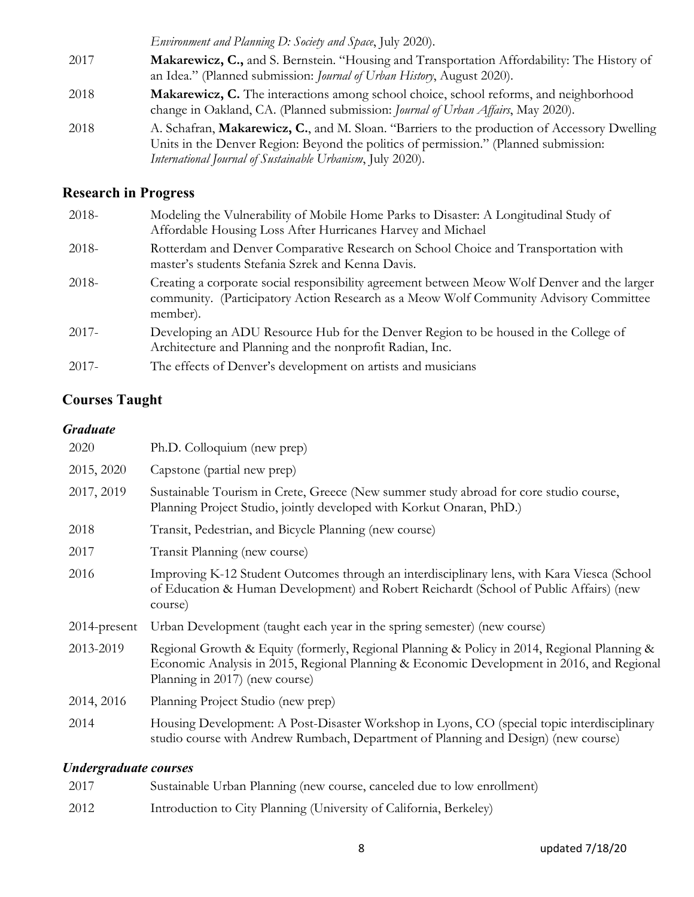*Environment and Planning D: Society and Space*, July 2020). 2017 **Makarewicz, C.,** and S. Bernstein. "Housing and Transportation Affordability: The History of an Idea." (Planned submission: *Journal of Urban History*, August 2020). 2018 **Makarewicz, C.** The interactions among school choice, school reforms, and neighborhood change in Oakland, CA. (Planned submission: *Journal of Urban Affairs*, May 2020). 2018 A. Schafran, **Makarewicz, C.**, and M. Sloan. "Barriers to the production of Accessory Dwelling Units in the Denver Region: Beyond the politics of permission." (Planned submission: *International Journal of Sustainable Urbanism*, July 2020).

### **Research in Progress**

| $2018-$  | Modeling the Vulnerability of Mobile Home Parks to Disaster: A Longitudinal Study of<br>Affordable Housing Loss After Hurricanes Harvey and Michael                                               |
|----------|---------------------------------------------------------------------------------------------------------------------------------------------------------------------------------------------------|
| 2018-    | Rotterdam and Denver Comparative Research on School Choice and Transportation with<br>master's students Stefania Szrek and Kenna Davis.                                                           |
| 2018-    | Creating a corporate social responsibility agreement between Meow Wolf Denver and the larger<br>community. (Participatory Action Research as a Meow Wolf Community Advisory Committee<br>member). |
| 2017-    | Developing an ADU Resource Hub for the Denver Region to be housed in the College of<br>Architecture and Planning and the nonprofit Radian, Inc.                                                   |
| $2017 -$ | The effects of Denver's development on artists and musicians                                                                                                                                      |

## **Courses Taught**

#### *Graduate*

| 2020            | Ph.D. Colloquium (new prep)                                                                                                                                                                                                |
|-----------------|----------------------------------------------------------------------------------------------------------------------------------------------------------------------------------------------------------------------------|
| 2015, 2020      | Capstone (partial new prep)                                                                                                                                                                                                |
| 2017, 2019      | Sustainable Tourism in Crete, Greece (New summer study abroad for core studio course,<br>Planning Project Studio, jointly developed with Korkut Onaran, PhD.)                                                              |
| 2018            | Transit, Pedestrian, and Bicycle Planning (new course)                                                                                                                                                                     |
| 2017            | Transit Planning (new course)                                                                                                                                                                                              |
| 2016            | Improving K-12 Student Outcomes through an interdisciplinary lens, with Kara Viesca (School<br>of Education & Human Development) and Robert Reichardt (School of Public Affairs) (new<br>course)                           |
| $2014$ -present | Urban Development (taught each year in the spring semester) (new course)                                                                                                                                                   |
| 2013-2019       | Regional Growth & Equity (formerly, Regional Planning & Policy in 2014, Regional Planning &<br>Economic Analysis in 2015, Regional Planning & Economic Development in 2016, and Regional<br>Planning in 2017) (new course) |
| 2014, 2016      | Planning Project Studio (new prep)                                                                                                                                                                                         |
| 2014            | Housing Development: A Post-Disaster Workshop in Lyons, CO (special topic interdisciplinary<br>studio course with Andrew Rumbach, Department of Planning and Design) (new course)                                          |
|                 |                                                                                                                                                                                                                            |

#### *Undergraduate courses*

| 2017 | Sustainable Urban Planning (new course, canceled due to low enrollment) |
|------|-------------------------------------------------------------------------|
| 2012 | Introduction to City Planning (University of California, Berkeley)      |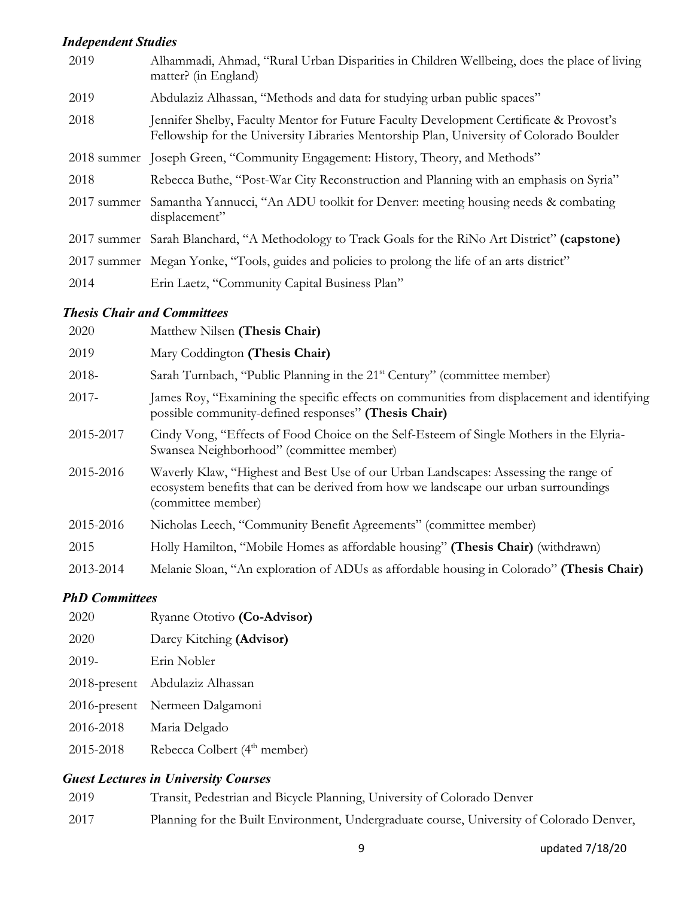## *Independent Studies*

| 2019        | Alhammadi, Ahmad, "Rural Urban Disparities in Children Wellbeing, does the place of living<br>matter? (in England)                                                                |
|-------------|-----------------------------------------------------------------------------------------------------------------------------------------------------------------------------------|
| 2019        | Abdulaziz Alhassan, "Methods and data for studying urban public spaces"                                                                                                           |
| 2018        | Jennifer Shelby, Faculty Mentor for Future Faculty Development Certificate & Provost's<br>Fellowship for the University Libraries Mentorship Plan, University of Colorado Boulder |
|             | 2018 summer Joseph Green, "Community Engagement: History, Theory, and Methods"                                                                                                    |
| 2018        | Rebecca Buthe, "Post-War City Reconstruction and Planning with an emphasis on Syria"                                                                                              |
| 2017 summer | Samantha Yannucci, "An ADU toolkit for Denver: meeting housing needs & combating<br>displacement"                                                                                 |
|             | 2017 summer Sarah Blanchard, "A Methodology to Track Goals for the RiNo Art District" (capstone)                                                                                  |
|             | 2017 summer Megan Yonke, "Tools, guides and policies to prolong the life of an arts district"                                                                                     |
| 2014        | Erin Laetz, "Community Capital Business Plan"                                                                                                                                     |

#### *Thesis Chair and Committees*

| 2020      | Matthew Nilsen (Thesis Chair)                                                                                                                                                                    |
|-----------|--------------------------------------------------------------------------------------------------------------------------------------------------------------------------------------------------|
| 2019      | Mary Coddington (Thesis Chair)                                                                                                                                                                   |
| 2018-     | Sarah Turnbach, "Public Planning in the 21 <sup>st</sup> Century" (committee member)                                                                                                             |
| $2017 -$  | James Roy, "Examining the specific effects on communities from displacement and identifying<br>possible community-defined responses" (Thesis Chair)                                              |
| 2015-2017 | Cindy Vong, "Effects of Food Choice on the Self-Esteem of Single Mothers in the Elyria-<br>Swansea Neighborhood" (committee member)                                                              |
| 2015-2016 | Waverly Klaw, "Highest and Best Use of our Urban Landscapes: Assessing the range of<br>ecosystem benefits that can be derived from how we landscape our urban surroundings<br>(committee member) |
| 2015-2016 | Nicholas Leech, "Community Benefit Agreements" (committee member)                                                                                                                                |
| 2015      | Holly Hamilton, "Mobile Homes as affordable housing" (Thesis Chair) (withdrawn)                                                                                                                  |
| 2013-2014 | Melanie Sloan, "An exploration of ADUs as affordable housing in Colorado" (Thesis Chair)                                                                                                         |

#### *PhD Committees*

|                 | и <i>пр Commutes</i>                     |  |  |
|-----------------|------------------------------------------|--|--|
| 2020            | Ryanne Ototivo (Co-Advisor)              |  |  |
| 2020            | Darcy Kitching (Advisor)                 |  |  |
| 2019-           | Erin Nobler                              |  |  |
| $2018$ -present | Abdulaziz Alhassan                       |  |  |
| $2016$ -present | Nermeen Dalgamoni                        |  |  |
| 2016-2018       | Maria Delgado                            |  |  |
| 2015-2018       | Rebecca Colbert (4 <sup>th</sup> member) |  |  |

### *Guest Lectures in University Courses*

| 2019 | Transit, Pedestrian and Bicycle Planning, University of Colorado Denver                  |
|------|------------------------------------------------------------------------------------------|
| 2017 | Planning for the Built Environment, Undergraduate course, University of Colorado Denver, |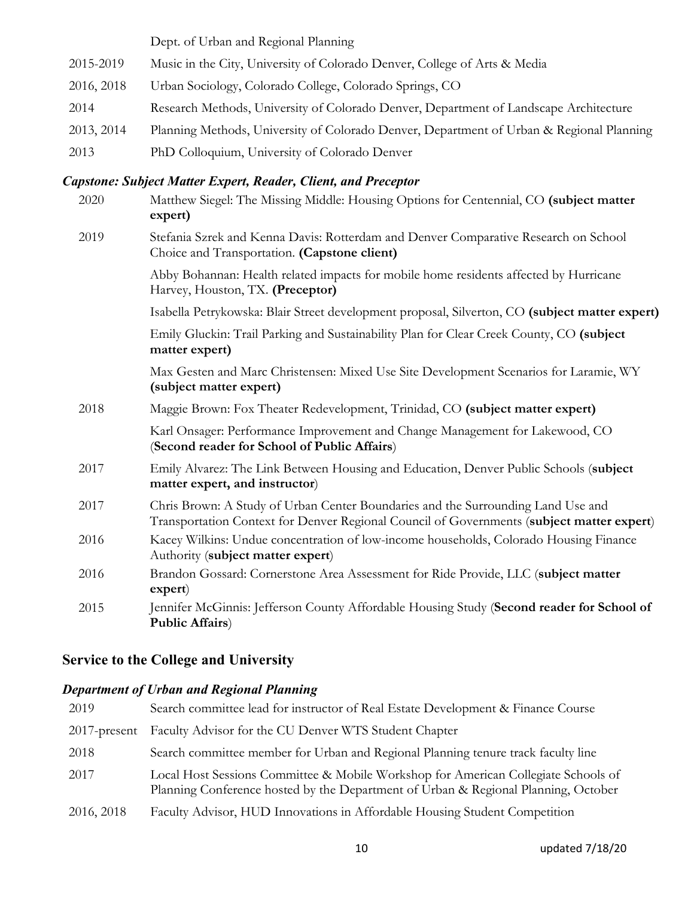Dept. of Urban and Regional Planning 2015-2019 Music in the City, University of Colorado Denver, College of Arts & Media 2016, 2018 Urban Sociology, Colorado College, Colorado Springs, CO 2014 Research Methods, University of Colorado Denver, Department of Landscape Architecture 2013, 2014 Planning Methods, University of Colorado Denver, Department of Urban & Regional Planning 2013 PhD Colloquium, University of Colorado Denver

#### *Capstone: Subject Matter Expert, Reader, Client, and Preceptor*

| 2020 | Matthew Siegel: The Missing Middle: Housing Options for Centennial, CO (subject matter<br>expert)                                                                             |
|------|-------------------------------------------------------------------------------------------------------------------------------------------------------------------------------|
| 2019 | Stefania Szrek and Kenna Davis: Rotterdam and Denver Comparative Research on School<br>Choice and Transportation. (Capstone client)                                           |
|      | Abby Bohannan: Health related impacts for mobile home residents affected by Hurricane<br>Harvey, Houston, TX. (Preceptor)                                                     |
|      | Isabella Petrykowska: Blair Street development proposal, Silverton, CO (subject matter expert)                                                                                |
|      | Emily Gluckin: Trail Parking and Sustainability Plan for Clear Creek County, CO (subject<br>matter expert)                                                                    |
|      | Max Gesten and Marc Christensen: Mixed Use Site Development Scenarios for Laramie, WY<br>(subject matter expert)                                                              |
| 2018 | Maggie Brown: Fox Theater Redevelopment, Trinidad, CO (subject matter expert)                                                                                                 |
|      | Karl Onsager: Performance Improvement and Change Management for Lakewood, CO<br>(Second reader for School of Public Affairs)                                                  |
| 2017 | Emily Alvarez: The Link Between Housing and Education, Denver Public Schools (subject<br>matter expert, and instructor)                                                       |
| 2017 | Chris Brown: A Study of Urban Center Boundaries and the Surrounding Land Use and<br>Transportation Context for Denver Regional Council of Governments (subject matter expert) |
| 2016 | Kacey Wilkins: Undue concentration of low-income households, Colorado Housing Finance<br>Authority (subject matter expert)                                                    |
| 2016 | Brandon Gossard: Cornerstone Area Assessment for Ride Provide, LLC (subject matter<br>expert)                                                                                 |
| 2015 | Jennifer McGinnis: Jefferson County Affordable Housing Study (Second reader for School of<br><b>Public Affairs)</b>                                                           |

### **Service to the College and University**

## *Department of Urban and Regional Planning*

| 2019            | Search committee lead for instructor of Real Estate Development & Finance Course                                                                                         |
|-----------------|--------------------------------------------------------------------------------------------------------------------------------------------------------------------------|
| $2017$ -present | Faculty Advisor for the CU Denver WTS Student Chapter                                                                                                                    |
| 2018            | Search committee member for Urban and Regional Planning tenure track faculty line                                                                                        |
| 2017            | Local Host Sessions Committee & Mobile Workshop for American Collegiate Schools of<br>Planning Conference hosted by the Department of Urban & Regional Planning, October |
| 2016, 2018      | Faculty Advisor, HUD Innovations in Affordable Housing Student Competition                                                                                               |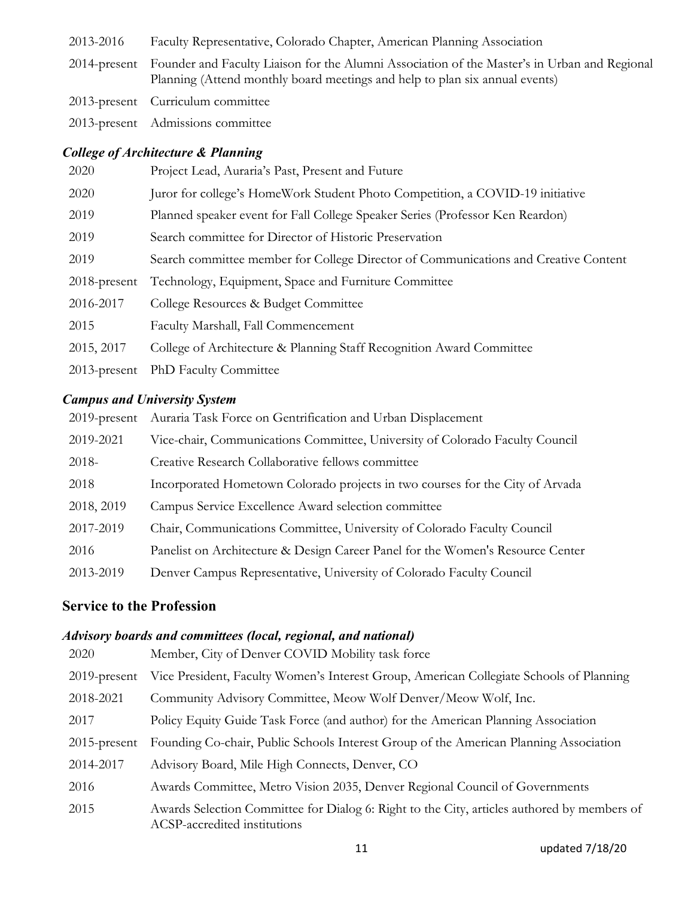- 2013-2016 Faculty Representative, Colorado Chapter, American Planning Association
- 2014-present Founder and Faculty Liaison for the Alumni Association of the Master's in Urban and Regional Planning (Attend monthly board meetings and help to plan six annual events)
- 2013-present Curriculum committee

2013-present Admissions committee

### *College of Architecture & Planning*

| 2020            | Project Lead, Auraria's Past, Present and Future                                    |
|-----------------|-------------------------------------------------------------------------------------|
| 2020            | Juror for college's HomeWork Student Photo Competition, a COVID-19 initiative       |
| 2019            | Planned speaker event for Fall College Speaker Series (Professor Ken Reardon)       |
| 2019            | Search committee for Director of Historic Preservation                              |
| 2019            | Search committee member for College Director of Communications and Creative Content |
| $2018$ -present | Technology, Equipment, Space and Furniture Committee                                |
| 2016-2017       | College Resources & Budget Committee                                                |
| 2015            | Faculty Marshall, Fall Commencement                                                 |
| 2015, 2017      | College of Architecture & Planning Staff Recognition Award Committee                |
| $2013$ -present | <b>PhD</b> Faculty Committee                                                        |

### *Campus and University System*

|            | 2019-present Auraria Task Force on Gentrification and Urban Displacement       |
|------------|--------------------------------------------------------------------------------|
| 2019-2021  | Vice-chair, Communications Committee, University of Colorado Faculty Council   |
| 2018-      | Creative Research Collaborative fellows committee                              |
| 2018       | Incorporated Hometown Colorado projects in two courses for the City of Arvada  |
| 2018, 2019 | Campus Service Excellence Award selection committee                            |
| 2017-2019  | Chair, Communications Committee, University of Colorado Faculty Council        |
| 2016       | Panelist on Architecture & Design Career Panel for the Women's Resource Center |
| 2013-2019  | Denver Campus Representative, University of Colorado Faculty Council           |

## **Service to the Profession**

### *Advisory boards and committees (local, regional, and national)*

| 2020            | Member, City of Denver COVID Mobility task force                                                                            |
|-----------------|-----------------------------------------------------------------------------------------------------------------------------|
| $2019$ -present | Vice President, Faculty Women's Interest Group, American Collegiate Schools of Planning                                     |
| 2018-2021       | Community Advisory Committee, Meow Wolf Denver/Meow Wolf, Inc.                                                              |
| 2017            | Policy Equity Guide Task Force (and author) for the American Planning Association                                           |
| $2015$ -present | Founding Co-chair, Public Schools Interest Group of the American Planning Association                                       |
| 2014-2017       | Advisory Board, Mile High Connects, Denver, CO                                                                              |
| 2016            | Awards Committee, Metro Vision 2035, Denver Regional Council of Governments                                                 |
| 2015            | Awards Selection Committee for Dialog 6: Right to the City, articles authored by members of<br>ACSP-accredited institutions |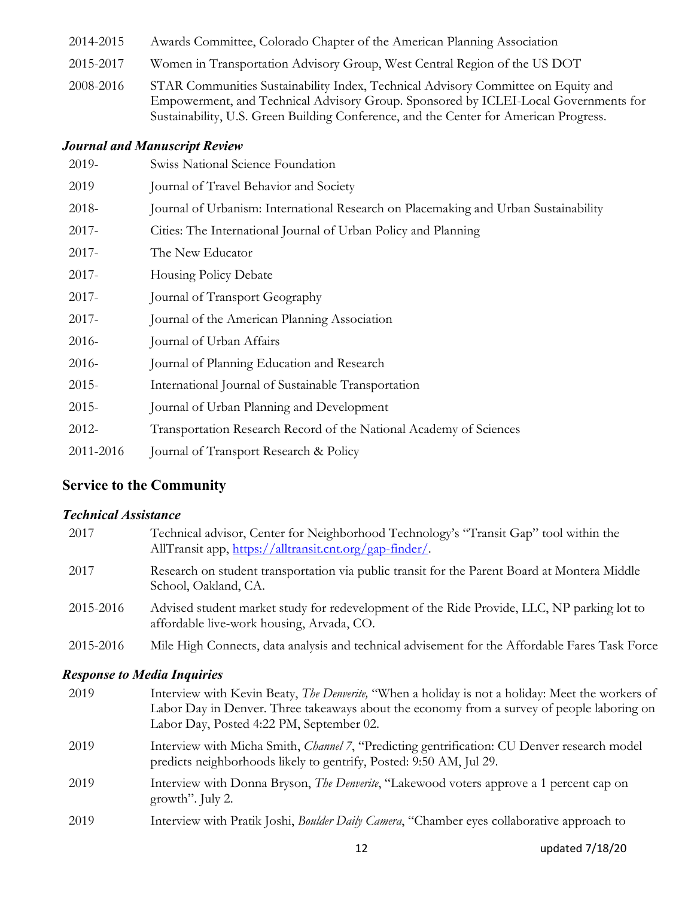- 2014-2015 Awards Committee, Colorado Chapter of the American Planning Association
- 2015-2017 Women in Transportation Advisory Group, West Central Region of the US DOT
- 2008-2016 STAR Communities Sustainability Index, Technical Advisory Committee on Equity and Empowerment, and Technical Advisory Group. Sponsored by ICLEI-Local Governments for Sustainability, U.S. Green Building Conference, and the Center for American Progress.

#### *Journal and Manuscript Review*

| 2019-     | Swiss National Science Foundation                                                   |
|-----------|-------------------------------------------------------------------------------------|
| 2019      | Journal of Travel Behavior and Society                                              |
| 2018-     | Journal of Urbanism: International Research on Placemaking and Urban Sustainability |
| $2017 -$  | Cities: The International Journal of Urban Policy and Planning                      |
| $2017 -$  | The New Educator                                                                    |
| $2017 -$  | <b>Housing Policy Debate</b>                                                        |
| $2017 -$  | Journal of Transport Geography                                                      |
| $2017 -$  | Journal of the American Planning Association                                        |
| $2016-$   | Journal of Urban Affairs                                                            |
| $2016-$   | Journal of Planning Education and Research                                          |
| $2015 -$  | International Journal of Sustainable Transportation                                 |
| $2015 -$  | Journal of Urban Planning and Development                                           |
| 2012-     | Transportation Research Record of the National Academy of Sciences                  |
| 2011-2016 | Journal of Transport Research & Policy                                              |

### **Service to the Community**

#### *Technical Assistance*

| 2017      | Technical advisor, Center for Neighborhood Technology's "Transit Gap" tool within the<br>AllTransit app, https://alltransit.cnt.org/gap-finder/. |
|-----------|--------------------------------------------------------------------------------------------------------------------------------------------------|
| 2017      | Research on student transportation via public transit for the Parent Board at Montera Middle<br>School, Oakland, CA.                             |
| 2015-2016 | Advised student market study for redevelopment of the Ride Provide, LLC, NP parking lot to<br>affordable live-work housing, Arvada, CO.          |
| 2015-2016 | Mile High Connects, data analysis and technical advisement for the Affordable Fares Task Force                                                   |

#### *Response to Media Inquiries*

| 2019 | Interview with Kevin Beaty, <i>The Denverite</i> , "When a holiday is not a holiday: Meet the workers of<br>Labor Day in Denver. Three takeaways about the economy from a survey of people laboring on<br>Labor Day, Posted 4:22 PM, September 02. |
|------|----------------------------------------------------------------------------------------------------------------------------------------------------------------------------------------------------------------------------------------------------|
| 2019 | Interview with Micha Smith, Channel 7, "Predicting gentrification: CU Denver research model<br>predicts neighborhoods likely to gentrify, Posted: 9:50 AM, Jul 29.                                                                                 |
| 2019 | Interview with Donna Bryson, <i>The Denverite</i> , "Lakewood voters approve a 1 percent cap on<br>growth". July 2.                                                                                                                                |
| 2019 | Interview with Pratik Joshi, Boulder Daily Camera, "Chamber eyes collaborative approach to                                                                                                                                                         |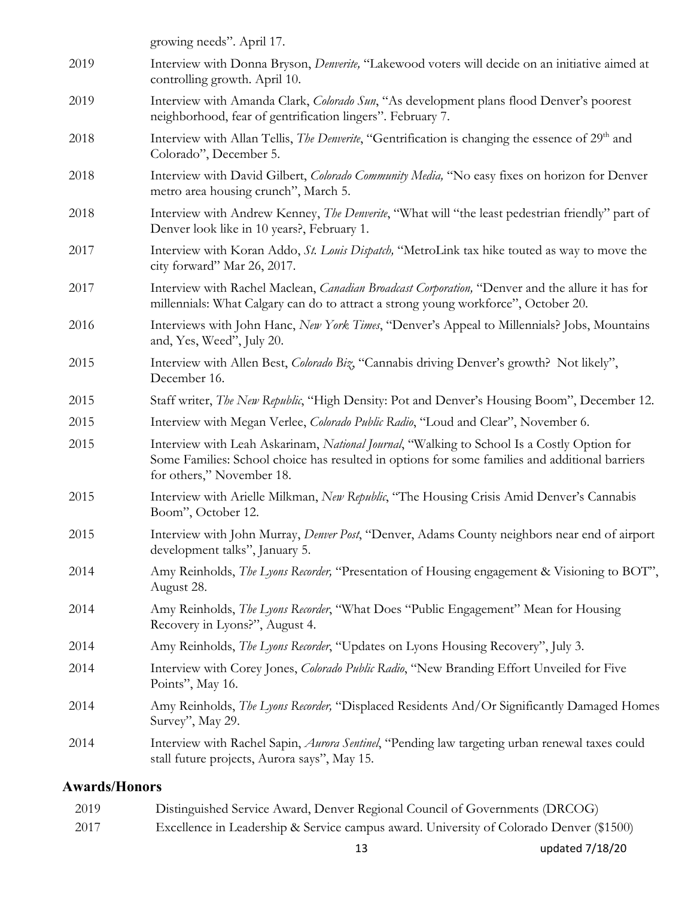| J. /TT. |                                                                                                                                                                                                                           |
|---------|---------------------------------------------------------------------------------------------------------------------------------------------------------------------------------------------------------------------------|
| 2014    | Interview with Rachel Sapin, <i>Aurora Sentinel</i> , "Pending law targeting urban renewal taxes could<br>stall future projects, Aurora says", May 15.                                                                    |
| 2014    | Amy Reinholds, <i>The Lyons Recorder</i> , "Displaced Residents And/Or Significantly Damaged Homes<br>Survey", May 29.                                                                                                    |
| 2014    | Interview with Corey Jones, Colorado Public Radio, "New Branding Effort Unveiled for Five<br>Points", May 16.                                                                                                             |
| 2014    | Amy Reinholds, The Lyons Recorder, "Updates on Lyons Housing Recovery", July 3.                                                                                                                                           |
| 2014    | Amy Reinholds, <i>The Lyons Recorder</i> , "What Does "Public Engagement" Mean for Housing<br>Recovery in Lyons?", August 4.                                                                                              |
| 2014    | Amy Reinholds, <i>The Lyons Recorder</i> , "Presentation of Housing engagement & Visioning to BOT",<br>August 28.                                                                                                         |
| 2015    | Interview with John Murray, <i>Denver Post</i> , "Denver, Adams County neighbors near end of airport<br>development talks", January 5.                                                                                    |
| 2015    | Interview with Arielle Milkman, New Republic, "The Housing Crisis Amid Denver's Cannabis<br>Boom", October 12.                                                                                                            |
| 2015    | Interview with Leah Askarinam, National Journal, "Walking to School Is a Costly Option for<br>Some Families: School choice has resulted in options for some families and additional barriers<br>for others," November 18. |
| 2015    | Interview with Megan Verlee, Colorado Public Radio, "Loud and Clear", November 6.                                                                                                                                         |
| 2015    | Staff writer, The New Republic, "High Density: Pot and Denver's Housing Boom", December 12.                                                                                                                               |
| 2015    | Interview with Allen Best, Colorado Biz, "Cannabis driving Denver's growth? Not likely",<br>December 16.                                                                                                                  |
| 2016    | Interviews with John Hanc, New York Times, "Denver's Appeal to Millennials? Jobs, Mountains<br>and, Yes, Weed", July 20.                                                                                                  |
| 2017    | Interview with Rachel Maclean, <i>Canadian Broadcast Corporation</i> , "Denver and the allure it has for<br>millennials: What Calgary can do to attract a strong young workforce", October 20.                            |
| 2017    | Interview with Koran Addo, St. Louis Dispatch, "MetroLink tax hike touted as way to move the<br>city forward" Mar 26, 2017.                                                                                               |
| 2018    | Interview with Andrew Kenney, <i>The Denverite</i> , "What will "the least pedestrian friendly" part of<br>Denver look like in 10 years?, February 1.                                                                     |
| 2018    | Interview with David Gilbert, <i>Colorado Community Media</i> , "No easy fixes on horizon for Denver<br>metro area housing crunch", March 5.                                                                              |
| 2018    | Interview with Allan Tellis, <i>The Denverite</i> , "Gentrification is changing the essence of 29 <sup>th</sup> and<br>Colorado", December 5.                                                                             |
| 2019    | Interview with Amanda Clark, <i>Colorado Sun</i> , "As development plans flood Denver's poorest<br>neighborhood, fear of gentrification lingers". February 7.                                                             |
| 2019    | Interview with Donna Bryson, Denverite, "Lakewood voters will decide on an initiative aimed at<br>controlling growth. April 10.                                                                                           |
|         | growing needs". April 17.                                                                                                                                                                                                 |

## **Awards/Honors**

| 2019 | Distinguished Service Award, Denver Regional Council of Governments (DRCOG)             |
|------|-----------------------------------------------------------------------------------------|
| 2017 | Excellence in Leadership & Service campus award. University of Colorado Denver (\$1500) |